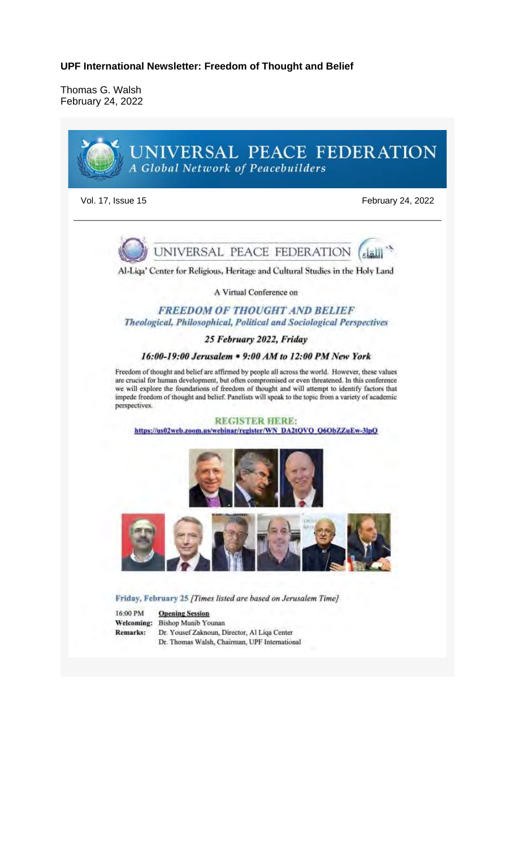Thomas G. Walsh February 24, 2022